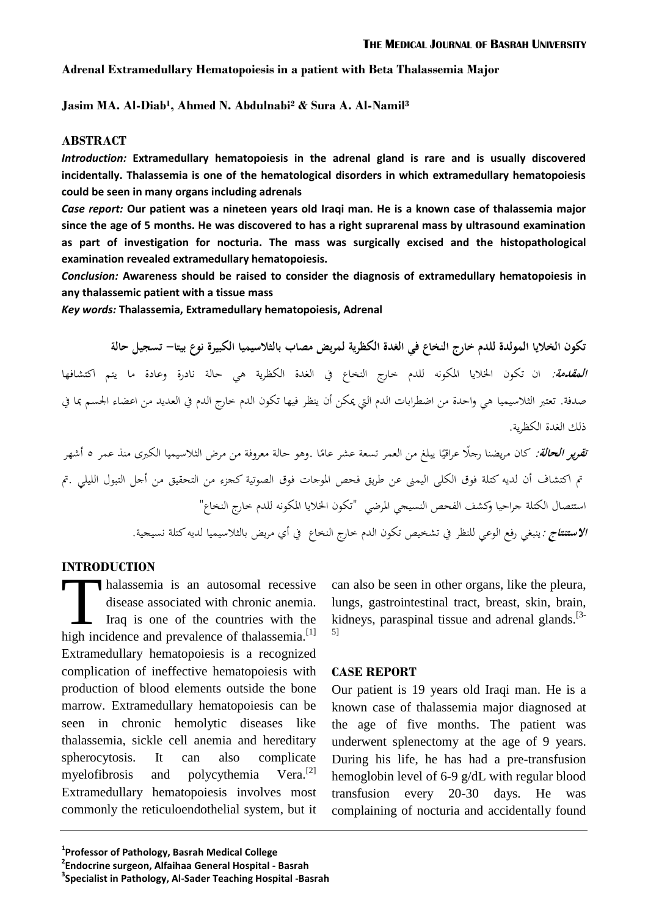## **Adrenal Extramedullary Hematopoiesis in a patient with Beta Thalassemia Major**

**Jasim MA. Al-Diab<sup>1</sup> , Ahmed N. Abdulnabi<sup>2</sup> & Sura A. Al-Namil<sup>3</sup>**

# **ABSTRACT**

*Introduction:* **Extramedullary hematopoiesis in the adrenal gland is rare and is usually discovered incidentally. Thalassemia is one of the hematological disorders in which extramedullary hematopoiesis could be seen in many organs including adrenals**

*Case report:* **Our patient was a nineteen years old Iraqi man. He is a known case of thalassemia major since the age of 5 months. He was discovered to has a right suprarenal mass by ultrasound examination as part of investigation for nocturia. The mass was surgically excised and the histopathological examination revealed extramedullary hematopoiesis.**

*Conclusion:* **Awareness should be raised to consider the diagnosis of extramedullary hematopoiesis in any thalassemic patient with a tissue mass**

*Key words:* **Thalassemia, Extramedullary hematopoiesis, Adrenal**

**تكون الخاليا المولدة للدم خارج النخاع في الغدة الكظرية لمريض مصاب بالثالسيميا الكبيرة نوع بيتا- تسجيل حالة المقدمة:** ان تكون اخلاليا املكونه للدم خارج النخاع يف الغدة الكظرية هي حالة نادرة وعادة ما يتم اكتشافها صدفة. تعتبر الثلاسيميا هي واحدة من اضطرابات الدم التي يمكن أن ينظر فيها تكون الدم خارج الدم في العديد من اعضاء الجسم بما في ذلك الغدة الكظرية.

ت*قوير الحالة:* كان مريضنا رجلًا عراقيًا يبلغ من العمر تسعة عشر عامًا .وهو حالة معروفة من مرض الثلاسيميا الكبرى منذ عمر ٥ أشهر ً ً تم اكتشاف أن لديه كتلة فوق الكلى اليمني عن طريق فحص الموجات فوق الصوتية كجزء من التحقيق من أجل التبول الليلي .تم استئصال الكتلة جراحيا وكشف الفحص النسيجي املرضي "تكون اخلاليا املكونه للدم خارج النخاع" ا**لاستنتاج** : ينبغي رفع الوعي للنظر في تشخيص تكون الدم خارج النخاع في أي مريض بالثلاسيميا لديه كتلة نسيجية.

# **INTRODUCTION**

halassemia is an autosomal recessive disease associated with chronic anemia. Iraq is one of the countries with the Thalassemia is an autosomal recessive<br>disease associated with chronic anemia.<br>Iraq is one of the countries with the<br>high incidence and prevalence of thalassemia.<sup>[1]</sup> Extramedullary hematopoiesis is a recognized complication of ineffective hematopoiesis with production of blood elements outside the bone marrow. Extramedullary hematopoiesis can be seen in chronic hemolytic diseases like thalassemia, sickle cell anemia and hereditary spherocytosis. It can also complicate myelofibrosis and polycythemia  $Vera.$ <sup>[2]</sup> Extramedullary hematopoiesis involves most commonly the reticuloendothelial system, but it

can also be seen in other organs, like the pleura, lungs, gastrointestinal tract, breast, skin, brain, kidneys, paraspinal tissue and adrenal glands.<sup>[3-</sup> 5]

#### **CASE REPORT**

Our patient is 19 years old Iraqi man. He is a known case of thalassemia major diagnosed at the age of five months. The patient was underwent splenectomy at the age of 9 years. During his life, he has had a pre-transfusion hemoglobin level of 6-9 g/dL with regular blood transfusion every 20-30 days. He was complaining of nocturia and accidentally found

**<sup>2</sup> Endocrine surgeon, Alfaihaa General Hospital - Basrah**

**<sup>3</sup> Specialist in Pathology, Al-Sader Teaching Hospital -Basrah**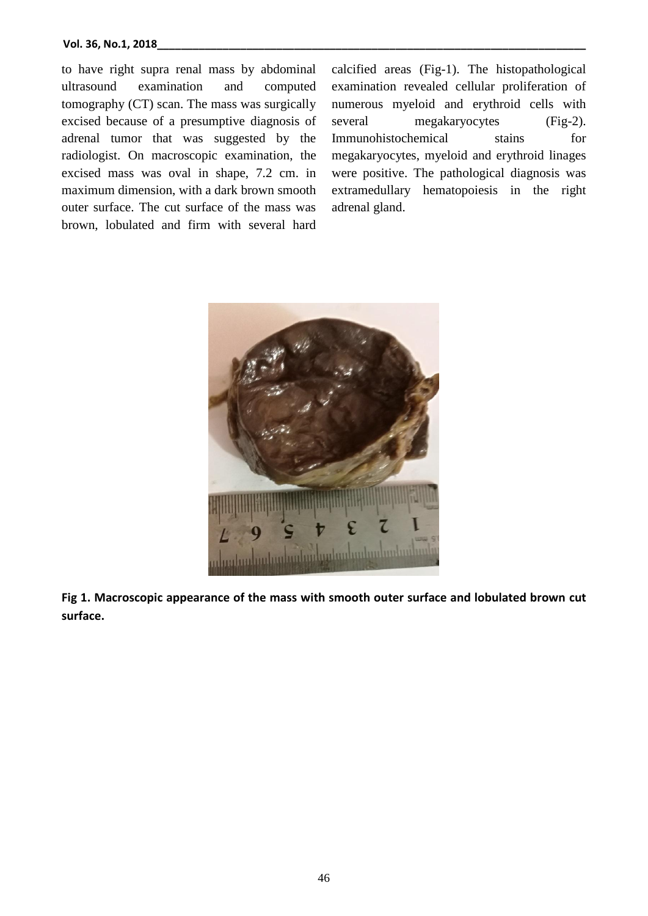to have right supra renal mass by abdominal ultrasound examination and computed tomography (CT) scan. The mass was surgically excised because of a presumptive diagnosis of adrenal tumor that was suggested by the radiologist. On macroscopic examination, the excised mass was oval in shape, 7.2 cm. in maximum dimension, with a dark brown smooth outer surface. The cut surface of the mass was brown, lobulated and firm with several hard

calcified areas (Fig-1). The histopathological examination revealed cellular proliferation of numerous myeloid and erythroid cells with several megakaryocytes (Fig-2). Immunohistochemical stains for megakaryocytes, myeloid and erythroid linages were positive. The pathological diagnosis was extramedullary hematopoiesis in the right adrenal gland.



**Fig 1. Macroscopic appearance of the mass with smooth outer surface and lobulated brown cut surface.**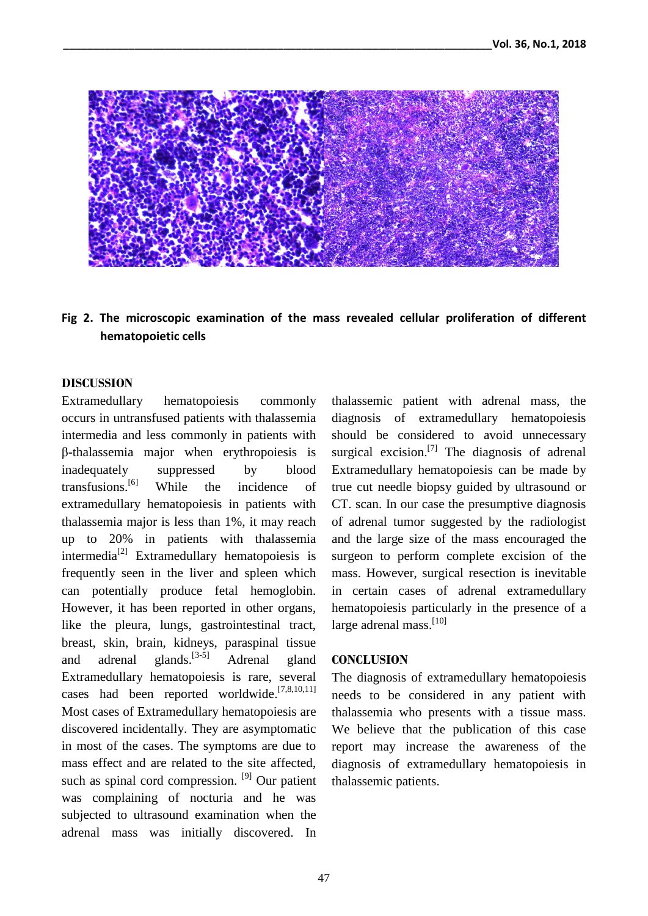

**Fig 2. The microscopic examination of the mass revealed cellular proliferation of different hematopoietic cells**

### **DISCUSSION**

Extramedullary hematopoiesis commonly occurs in untransfused patients with thalassemia intermedia and less commonly in patients with β-thalassemia major when erythropoiesis is inadequately suppressed by blood transfusions. While the incidence of extramedullary hematopoiesis in patients with thalassemia major is less than 1%, it may reach up to 20% in patients with thalassemia intermedia<sup>[2]</sup> Extramedullary hematopoiesis is frequently seen in the liver and spleen which can potentially produce fetal hemoglobin. However, it has been reported in other organs, like the pleura, lungs, gastrointestinal tract, breast, skin, brain, kidneys, paraspinal tissue and adrenal glands.  $[3-5]$ Adrenal gland Extramedullary hematopoiesis is rare, several cases had been reported worldwide.<sup>[7,8,10,11]</sup> Most cases of Extramedullary hematopoiesis are discovered incidentally. They are asymptomatic in most of the cases. The symptoms are due to mass effect and are related to the site affected, such as spinal cord compression. <sup>[9]</sup> Our patient was complaining of nocturia and he was subjected to ultrasound examination when the adrenal mass was initially discovered. In

thalassemic patient with adrenal mass, the diagnosis of extramedullary hematopoiesis should be considered to avoid unnecessary surgical excision.<sup>[7]</sup> The diagnosis of adrenal Extramedullary hematopoiesis can be made by true cut needle biopsy guided by ultrasound or CT. scan. In our case the presumptive diagnosis of adrenal tumor suggested by the radiologist and the large size of the mass encouraged the surgeon to perform complete excision of the mass. However, surgical resection is inevitable in certain cases of adrenal extramedullary hematopoiesis particularly in the presence of a large adrenal mass.<sup>[10]</sup>

#### **CONCLUSION**

The diagnosis of extramedullary hematopoiesis needs to be considered in any patient with thalassemia who presents with a tissue mass. We believe that the publication of this case report may increase the awareness of the diagnosis of extramedullary hematopoiesis in thalassemic patients.